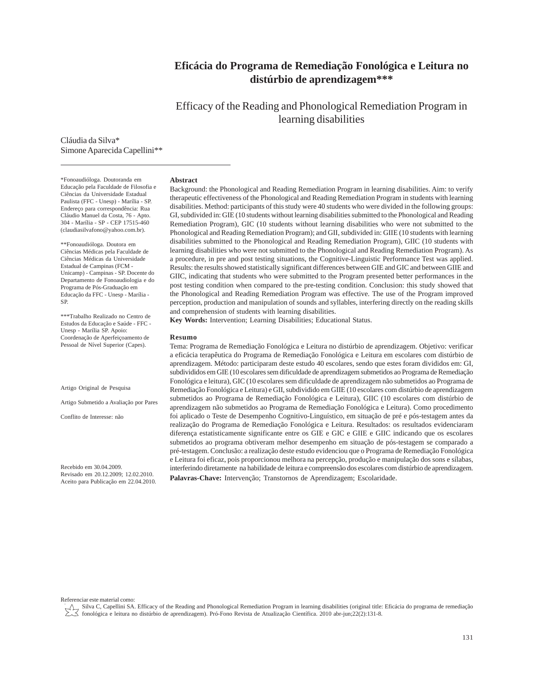# **Eficácia do Programa de Remediação Fonológica e Leitura no distúrbio de aprendizagem\*\*\***

Efficacy of the Reading and Phonological Remediation Program in learning disabilities

Cláudia da Silva\* Simone Aparecida Capellini\*\*

#### **Abstract**

\*Fonoaudióloga. Doutoranda em Educação pela Faculdade de Filosofia e Ciências da Universidade Estadual Paulista (FFC - Unesp) - Marília - SP. Endereço para correspondência: Rua Cláudio Manuel da Costa, 76 - Apto. 304 - Marília - SP - CEP 17515-460 (claudiasilvafono@yahoo.com.br).

\*\*Fonoaudióloga. Doutora em Ciências Médicas pela Faculdade de Ciências Médicas da Universidade Estadual de Campinas (FCM - Unicamp) - Campinas - SP. Docente do Departamento de Fonoaudiologia e do Programa de Pós-Graduação em Educação da FFC - Unesp - Marília - SP.

\*\*\*Trabalho Realizado no Centro de Estudos da Educação e Saúde - FFC - Unesp - Marília SP. Apoio: Coordenação de Aperfeiçoamento de Pessoal de Nível Superior (Capes).

Artigo Original de Pesquisa

Artigo Submetido a Avaliação por Pares

Conflito de Interesse: não

Recebido em 30.04.2009. Revisado em 20.12.2009; 12.02.2010. Aceito para Publicação em 22.04.2010.

Background: the Phonological and Reading Remediation Program in learning disabilities. Aim: to verify therapeutic effectiveness of the Phonological and Reading Remediation Program in students with learning disabilities. Method: participants of this study were 40 students who were divided in the following groups: GI, subdivided in: GIE (10 students without learning disabilities submitted to the Phonological and Reading Remediation Program), GIC (10 students without learning disabilities who were not submitted to the Phonological and Reading Remediation Program); and GII, subdivided in: GIIE (10 students with learning disabilities submitted to the Phonological and Reading Remediation Program), GIIC (10 students with learning disabilities who were not submitted to the Phonological and Reading Remediation Program). As a procedure, in pre and post testing situations, the Cognitive-Linguistic Performance Test was applied. Results: the results showed statistically significant differences between GIE and GIC and between GIIE and GIIC, indicating that students who were submitted to the Program presented better performances in the post testing condition when compared to the pre-testing condition. Conclusion: this study showed that the Phonological and Reading Remediation Program was effective. The use of the Program improved perception, production and manipulation of sounds and syllables, interfering directly on the reading skills and comprehension of students with learning disabilities.

**Key Words:** Intervention; Learning Disabilities; Educational Status.

#### **Resumo**

Tema: Programa de Remediação Fonológica e Leitura no distúrbio de aprendizagem. Objetivo: verificar a eficácia terapêutica do Programa de Remediação Fonológica e Leitura em escolares com distúrbio de aprendizagem. Método: participaram deste estudo 40 escolares, sendo que estes foram divididos em: GI, subdivididos em GIE (10 escolares sem dificuldade de aprendizagem submetidos ao Programa de Remediação Fonológica e leitura), GIC (10 escolares sem dificuldade de aprendizagem não submetidos ao Programa de Remediação Fonológica e Leitura) e GII, subdividido em GIIE (10 escolares com distúrbio de aprendizagem submetidos ao Programa de Remediação Fonológica e Leitura), GIIC (10 escolares com distúrbio de aprendizagem não submetidos ao Programa de Remediação Fonológica e Leitura). Como procedimento foi aplicado o Teste de Desempenho Cognitivo-Linguístico, em situação de pré e pós-testagem antes da realização do Programa de Remediação Fonológica e Leitura. Resultados: os resultados evidenciaram diferença estatisticamente significante entre os GIE e GIC e GIIE e GIIC indicando que os escolares submetidos ao programa obtiveram melhor desempenho em situação de pós-testagem se comparado a pré-testagem. Conclusão: a realização deste estudo evidenciou que o Programa de Remediação Fonológica e Leitura foi eficaz, pois proporcionou melhora na percepção, produção e manipulação dos sons e sílabas, interferindo diretamente na habilidade de leitura e compreensão dos escolares com distúrbio de aprendizagem. **Palavras-Chave:** Intervenção; Transtornos de Aprendizagem; Escolaridade.

Referenciar este material como:

Silva C, Capellini SA. Efficacy of the Reading and Phonological Remediation Program in learning disabilities (original title: Eficácia do programa de remediação fonológica e leitura no distúrbio de aprendizagem). Pró-Fono Revista de Atualização Científica. 2010 abr-jun;22(2):131-8.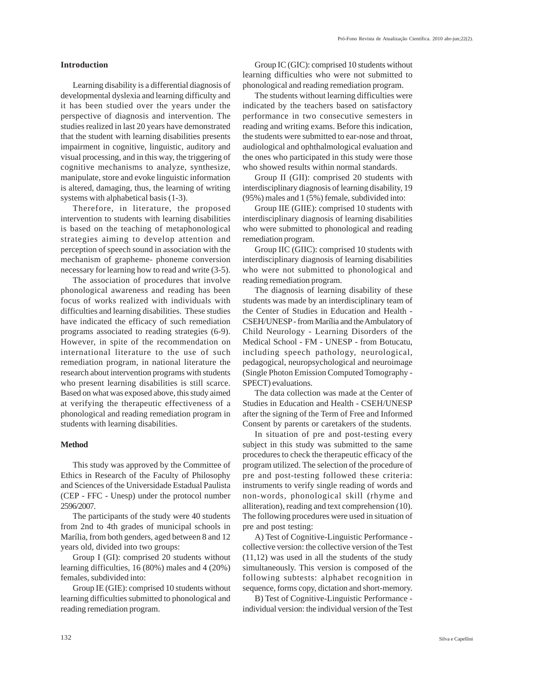## **Introduction**

Learning disability is a differential diagnosis of developmental dyslexia and learning difficulty and it has been studied over the years under the perspective of diagnosis and intervention. The studies realized in last 20 years have demonstrated that the student with learning disabilities presents impairment in cognitive, linguistic, auditory and visual processing, and in this way, the triggering of cognitive mechanisms to analyze, synthesize, manipulate, store and evoke linguistic information is altered, damaging, thus, the learning of writing systems with alphabetical basis (1-3).

Therefore, in literature, the proposed intervention to students with learning disabilities is based on the teaching of metaphonological strategies aiming to develop attention and perception of speech sound in association with the mechanism of grapheme- phoneme conversion necessary for learning how to read and write (3-5).

The association of procedures that involve phonological awareness and reading has been focus of works realized with individuals with difficulties and learning disabilities. These studies have indicated the efficacy of such remediation programs associated to reading strategies (6-9). However, in spite of the recommendation on international literature to the use of such remediation program, in national literature the research about intervention programs with students who present learning disabilities is still scarce. Based on what was exposed above, this study aimed at verifying the therapeutic effectiveness of a phonological and reading remediation program in students with learning disabilities.

### **Method**

This study was approved by the Committee of Ethics in Research of the Faculty of Philosophy and Sciences of the Universidade Estadual Paulista (CEP - FFC - Unesp) under the protocol number 2596/2007.

The participants of the study were 40 students from 2nd to 4th grades of municipal schools in Marília, from both genders, aged between 8 and 12 years old, divided into two groups:

Group I (GI): comprised 20 students without learning difficulties, 16 (80%) males and 4 (20%) females, subdivided into:

Group IE (GIE): comprised 10 students without learning difficulties submitted to phonological and reading remediation program.

Group IC (GIC): comprised 10 students without learning difficulties who were not submitted to phonological and reading remediation program.

The students without learning difficulties were indicated by the teachers based on satisfactory performance in two consecutive semesters in reading and writing exams. Before this indication, the students were submitted to ear-nose and throat, audiological and ophthalmological evaluation and the ones who participated in this study were those who showed results within normal standards.

Group II (GII): comprised 20 students with interdisciplinary diagnosis of learning disability, 19 (95%) males and 1 (5%) female, subdivided into:

Group IIE (GIIE): comprised 10 students with interdisciplinary diagnosis of learning disabilities who were submitted to phonological and reading remediation program.

Group IIC (GIIC): comprised 10 students with interdisciplinary diagnosis of learning disabilities who were not submitted to phonological and reading remediation program.

The diagnosis of learning disability of these students was made by an interdisciplinary team of the Center of Studies in Education and Health - CSEH/UNESP - from Marília and the Ambulatory of Child Neurology - Learning Disorders of the Medical School - FM - UNESP - from Botucatu, including speech pathology, neurological, pedagogical, neuropsychological and neuroimage (Single Photon Emission Computed Tomography - SPECT) evaluations.

The data collection was made at the Center of Studies in Education and Health - CSEH/UNESP after the signing of the Term of Free and Informed Consent by parents or caretakers of the students.

In situation of pre and post-testing every subject in this study was submitted to the same procedures to check the therapeutic efficacy of the program utilized. The selection of the procedure of pre and post-testing followed these criteria: instruments to verify single reading of words and non-words, phonological skill (rhyme and alliteration), reading and text comprehension (10). The following procedures were used in situation of pre and post testing:

A) Test of Cognitive-Linguistic Performance collective version: the collective version of the Test (11,12) was used in all the students of the study simultaneously. This version is composed of the following subtests: alphabet recognition in sequence, forms copy, dictation and short-memory.

B) Test of Cognitive-Linguistic Performance individual version: the individual version of the Test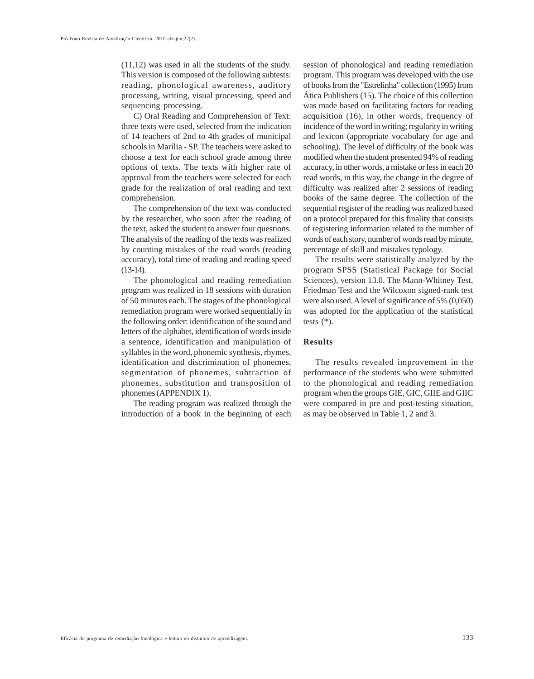(11,12) was used in all the students of the study. This version is composed of the following subtests: reading, phonological awareness, auditory processing, writing, visual processing, speed and sequencing processing.

C) Oral Reading and Comprehension of Text: three texts were used, selected from the indication of 14 teachers of 2nd to 4th grades of municipal schools in Marília - SP. The teachers were asked to choose a text for each school grade among three options of texts. The texts with higher rate of approval from the teachers were selected for each grade for the realization of oral reading and text comprehension.

The comprehension of the text was conducted by the researcher, who soon after the reading of the text, asked the student to answer four questions. The analysis of the reading of the texts was realized by counting mistakes of the read words (reading accuracy), total time of reading and reading speed  $(13-14)$ .

The phonological and reading remediation program was realized in 18 sessions with duration of 50 minutes each. The stages of the phonological remediation program were worked sequentially in the following order: identification of the sound and letters of the alphabet, identification of words inside a sentence, identification and manipulation of syllables in the word, phonemic synthesis, rhymes, identification and discrimination of phonemes, segmentation of phonemes, subtraction of phonemes, substitution and transposition of phonemes (APPENDIX 1).

The reading program was realized through the introduction of a book in the beginning of each

session of phonological and reading remediation program. This program was developed with the use of books from the "Estrelinha" collection (1995) from Ática Publishers (15). The choice of this collection was made based on facilitating factors for reading acquisition (16), in other words, frequency of incidence of the word in writing; regularity in writing and lexicon (appropriate vocabulary for age and schooling). The level of difficulty of the book was modified when the student presented 94% of reading accuracy, in other words, a mistake or less in each 20 read words, in this way, the change in the degree of difficulty was realized after 2 sessions of reading books of the same degree. The collection of the sequential register of the reading was realized based on a protocol prepared for this finality that consists of registering information related to the number of words of each story, number of words read by minute, percentage of skill and mistakes typology.

The results were statistically analyzed by the program SPSS (Statistical Package for Social Sciences), version 13.0. The Mann-Whitney Test, Friedman Test and the Wilcoxon signed-rank test were also used. A level of significance of 5% (0,050) was adopted for the application of the statistical tests  $(*)$ .

# **Results**

The results revealed improvement in the performance of the students who were submitted to the phonological and reading remediation program when the groups GIE, GIC, GIIE and GIIC were compared in pre and post-testing situation, as may be observed in Table 1, 2 and 3.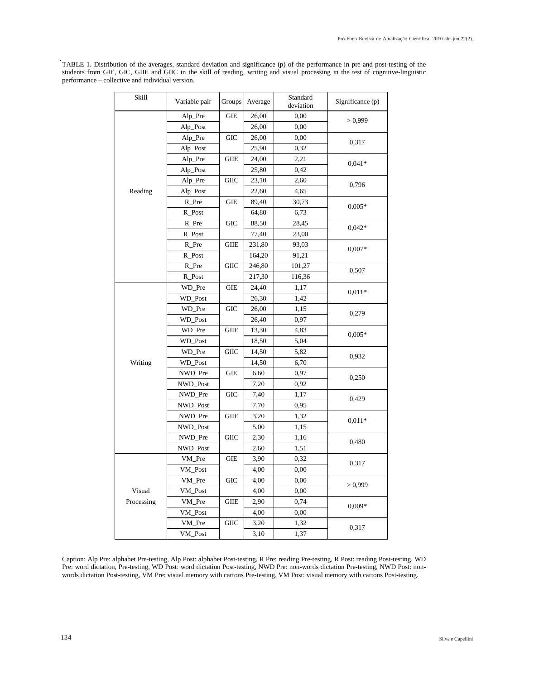| <b>Skill</b> | Variable pair | Groups      | Average | Standard<br>deviation | Significance (p) |
|--------------|---------------|-------------|---------|-----------------------|------------------|
|              | Alp_Pre       | <b>GIE</b>  | 26,00   | 0.00                  | > 0,999          |
|              | Alp_Post      |             | 26,00   | 0.00                  |                  |
|              | Alp_Pre       | <b>GIC</b>  | 26,00   | 0.00                  | 0,317            |
|              | Alp_Post      |             | 25,90   | 0.32                  |                  |
|              | Alp_Pre       | <b>GIIE</b> | 24,00   | 2,21                  | $0.041*$         |
|              | Alp_Post      |             | 25,80   | 0,42                  |                  |
|              | Alp_Pre       | <b>GIIC</b> | 23,10   | 2,60                  | 0,796            |
| Reading      | Alp_Post      |             | 22,60   | 4.65                  |                  |
|              | $R$ Pre       | GIE         | 89,40   | 30,73                 | $0,005*$         |
|              | R_Post        |             | 64,80   | 6,73                  |                  |
|              | R_Pre         | <b>GIC</b>  | 88,50   | 28,45                 | $0,042*$         |
|              | R_Post        |             | 77,40   | 23,00                 |                  |
|              | $R$ Pre       | <b>GIIE</b> | 231,80  | 93,03                 | $0,007*$         |
|              | R_Post        |             | 164,20  | 91,21                 |                  |
|              | R_Pre         | <b>GIIC</b> | 246,80  | 101,27                | 0,507            |
|              | R_Post        |             | 217,30  | 116,36                |                  |
|              | WD_Pre        | <b>GIE</b>  | 24,40   | 1,17                  | $0.011*$         |
|              | WD_Post       |             | 26,30   | 1,42                  |                  |
|              | WD_Pre        | <b>GIC</b>  | 26,00   | 1,15                  |                  |
|              | WD_Post       |             | 26,40   | 0.97                  | 0,279            |
|              | WD_Pre        | <b>GIIE</b> | 13,30   | 4.83                  |                  |
|              | WD_Post       |             | 18,50   | 5,04                  | $0,005*$         |
|              | WD_Pre        | <b>GIIC</b> | 14,50   | 5.82                  | 0,932            |
| Writing      | WD_Post       |             | 14,50   | 6,70                  |                  |
|              | NWD_Pre       | GIE         | 6,60    | 0,97                  |                  |
|              | NWD_Post      |             | 7,20    | 0,92                  | 0,250            |
|              | NWD Pre       | <b>GIC</b>  | 7,40    | 1,17                  |                  |
|              | NWD_Post      |             | 7,70    | 0.95                  | 0,429            |
|              | NWD_Pre       | <b>GIIE</b> | 3,20    | 1,32                  |                  |
|              | NWD_Post      |             | 5,00    | 1,15                  | $0,011*$         |
|              | NWD_Pre       | <b>GIIC</b> | 2,30    | 1,16                  |                  |
|              | NWD_Post      |             | 2,60    | 1,51                  | 0,480            |
|              | VM_Pre        | <b>GIE</b>  | 3,90    | 0.32                  |                  |
|              | VM_Post       |             | 4,00    | 0,00                  | 0,317            |
|              | VM_Pre        | <b>GIC</b>  | 4,00    | 0,00                  |                  |
| Visual       | VM_Post       |             | 4,00    | 0.00                  | > 0,999          |
| Processing   | VM_Pre        | <b>GIIE</b> | 2,90    | 0.74                  |                  |
|              | VM_Post       |             | 4,00    | 0.00                  | $0.009*$         |
|              | VM_Pre        | <b>GIIC</b> | 3,20    | 1,32                  |                  |
|              | VM_Post       |             | 3,10    | 1,37                  | 0,317            |

TABLE 1. Distribution of the averages, standard deviation and significance (p) of the performance in pre and post-testing of the students from GIE, GIC, GIIE and GIIC in the skill of reading, writing and visual processing in the test of cognitive-linguistic performance – collective and individual version.

Caption: Alp Pre: alphabet Pre-testing, Alp Post: alphabet Post-testing, R Pre: reading Pre-testing, R Post: reading Post-testing, WD Pre: word dictation, Pre-testing, WD Post: word dictation Post-testing, NWD Pre: non-words dictation Pre-testing, NWD Post: nonwords dictation Post-testing, VM Pre: visual memory with cartons Pre-testing, VM Post: visual memory with cartons Post-testing.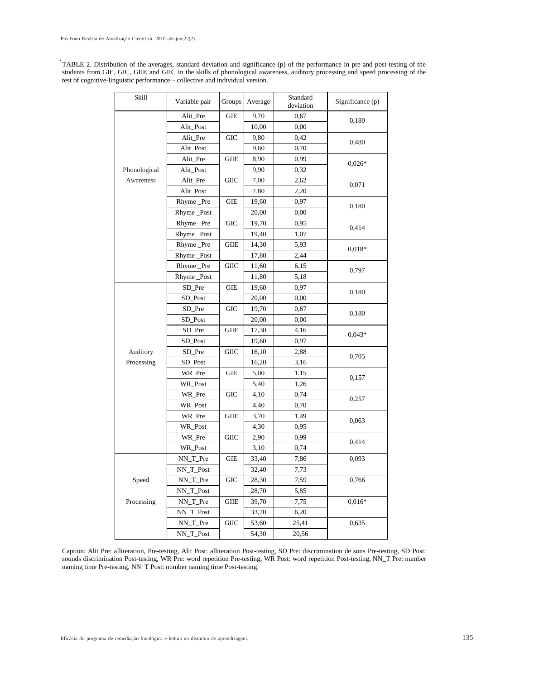TABLE 2. Distribution of the averages, standard deviation and significance (p) of the performance in pre and post-testing of the students from GIE, GIC, GIIE and GIIC in the skills of phonological awareness, auditory processing and speed processing of the test of cognitive-linguistic performance – collective and individual version.

| Skill        | Variable pair | Groups            | Average | Standard<br>deviation | Significance (p) |
|--------------|---------------|-------------------|---------|-----------------------|------------------|
|              | Alit_Pre      | <b>GIE</b>        | 9,70    | 0.67                  | 0,180            |
|              | Alit_Post     |                   | 10,00   | 0,00                  |                  |
|              | Alit_Pre      | <b>GIC</b>        | 9,80    | 0,42                  | 0,480            |
|              | Alit_Post     |                   | 9,60    | 0,70                  |                  |
|              | Alit_Pre      | GIIE              | 8,90    | 0,99                  | $0.026*$         |
| Phonological | Alit_Post     |                   | 9,90    | 0,32                  |                  |
| Awareness    | Alit_Pre      | <b>GIIC</b>       | 7,00    | 2,62                  | 0,071            |
|              | Alit_Post     |                   | 7,80    | 2,20                  |                  |
|              | Rhyme Pre     | GIE               | 19,60   | 0,97                  | 0,180            |
|              | Rhyme_Post    |                   | 20,00   | 0,00                  |                  |
|              | Rhyme _Pre    | <b>GIC</b>        | 19,70   | 0,95                  |                  |
|              | Rhyme_Post    |                   | 19,40   | 1,07                  | 0,414            |
|              | Rhyme_Pre     | <b>GIIE</b>       | 14,30   | 5,93                  |                  |
|              | Rhyme_Post    |                   | 17,80   | 2,44                  | $0.018*$         |
|              | Rhyme _Pre    | <b>GIIC</b>       | 11,60   | 6,15                  |                  |
|              | Rhyme_Post    |                   | 11,80   | 5,18                  | 0,797            |
|              | SD_Pre        | GIE               | 19,60   | 0,97                  |                  |
|              | SD_Post       |                   | 20,00   | 0.00                  | 0,180            |
|              | SD_Pre        | <b>GIC</b>        | 19,70   | 0,67                  |                  |
|              | SD_Post       |                   | 20,00   | 0,00                  | 0,180            |
|              | SD_Pre        | <b>GIIE</b>       | 17,30   | 4,16                  |                  |
|              | SD_Post       |                   | 19,60   | 0,97                  | $0,043*$         |
| Auditory     | SD_Pre        | ${\rm GHC}$       | 16,10   | 2,88                  |                  |
| Processing   | SD_Post       |                   | 16,20   | 3,16                  | 0,705            |
|              | WR_Pre        | GIE               | 5,00    | 1,15                  |                  |
|              | WR_Post       |                   | 5,40    | 1,26                  | 0,157            |
|              | WR_Pre        | <b>GIC</b>        | 4,10    | 0,74                  |                  |
|              | WR_Post       |                   | 4,40    | 0,70                  | 0,257            |
|              | WR_Pre        | GIIE              | 3,70    | 1,49                  |                  |
|              | WR Post       |                   | 4,30    | 0,95                  | 0,063            |
|              | WR_Pre        | $\rm GIC$         | 2,90    | 0,99                  |                  |
|              | WR_Post       |                   | 3,10    | 0,74                  | 0,414            |
|              | NN_T_Pre      | GIE               | 33,40   | 7,86                  | 0,093            |
|              | NN_T_Post     |                   | 32,40   | 7,73                  |                  |
| Speed        | NN_T_Pre      | $_{\mathrm{GIC}}$ | 28,30   | 7,59                  | 0,766            |
|              | NN_T_Post     |                   | 28,70   | 5,85                  |                  |
| Processing   | NN_T_Pre      | GIIE              | 39,70   | 7,75                  | $0,016*$         |
|              | NN_T_Post     |                   | 33,70   | 6.20                  |                  |
|              | NN_T_Pre      | $\rm GIC$         | 53,60   | 25,41                 | 0,635            |
|              | NN_T_Post     |                   | 54,30   | 20,56                 |                  |
|              |               |                   |         |                       |                  |

Caption: Alit Pre: alliteration, Pre-testing, Alit Post: alliteration Post-testing, SD Pre: discrimination de sons Pre-testing, SD Post: sounds discrimination Post-testing, WR Pre: word repetition Pre-testing, WR Post: word repetition Post-testing, NN\_T Pre: number naming time Pre-testing, NN T Post: number naming time Post-testing.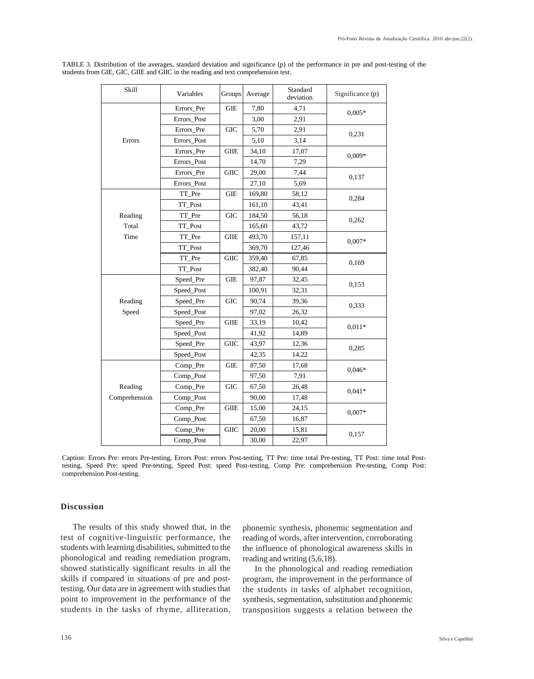| Skill         | Variables   | Groups      | Average | Standard<br>deviation | Significance (p) |
|---------------|-------------|-------------|---------|-----------------------|------------------|
|               | Errors Pre  | <b>GIE</b>  | 7,80    | 4,71                  | $0.005*$         |
|               | Errors Post |             | 3,00    | 2.91                  |                  |
|               | Errors_Pre  | <b>GIC</b>  | 5,70    | 2,91                  | 0,231            |
| Errors        | Errors Post |             | 5,10    | 3,14                  |                  |
|               | Errors_Pre  | <b>GIIE</b> | 34,10   | 17,07                 | $0,009*$         |
|               | Errors_Post |             | 14,70   | 7,29                  |                  |
|               | Errors_Pre  | <b>GIIC</b> | 29,00   | 7,44                  | 0,137            |
|               | Errors_Post |             | 27,10   | 5.69                  |                  |
|               | TT_Pre      | GIE         | 169,80  | 58,12                 | 0,284            |
|               | TT_Post     |             | 161,10  | 43,41                 |                  |
| Reading       | TT_Pre      | <b>GIC</b>  | 184,50  | 56,18                 | 0,262            |
| Total         | TT_Post     |             | 165,60  | 43,72                 |                  |
| Time          | TT_Pre      | <b>GIIE</b> | 493,70  | 157,11                | $0.007*$         |
|               | TT_Post     |             | 369,70  | 127,46                |                  |
|               | TT_Pre      | <b>GIIC</b> | 359,40  | 67,85                 | 0,169            |
|               | TT_Post     |             | 382,40  | 90,44                 |                  |
|               | Speed_Pre   | <b>GIE</b>  | 97,87   | 32,45                 | 0,153            |
|               | Speed Post  |             | 100,91  | 32,31                 |                  |
| Reading       | Speed_Pre   | <b>GIC</b>  | 90,74   | 39,36                 | 0,333            |
| Speed         | Speed_Post  |             | 97,02   | 26,32                 |                  |
|               | Speed_Pre   | <b>GIIE</b> | 33,19   | 10,42                 | $0.011*$         |
|               | Speed_Post  |             | 41,92   | 14,89                 |                  |
|               | Speed Pre   | <b>GIIC</b> | 43,97   | 12,36                 | 0,285            |
|               | Speed_Post  |             | 42,35   | 14,22                 |                  |
|               | Comp_Pre    | <b>GIE</b>  | 87,50   | 17,68                 | $0.046*$         |
|               | Comp_Post   |             | 97,50   | 7,91                  |                  |
| Reading       | Comp_Pre    | <b>GIC</b>  | 67,50   | 26,48                 | $0.041*$         |
| Comprehension | Comp_Post   |             | 90,00   | 17,48                 |                  |
|               | Comp_Pre    | $\rm GHE$   | 15,00   | 24,15                 | $0.007*$         |
|               | Comp_Post   |             | 67,50   | 16,87                 |                  |
|               | Comp_Pre    | <b>GIIC</b> | 20,00   | 15,81                 | 0,157            |
|               | Comp_Post   |             | 30,00   | 22,97                 |                  |

TABLE 3. Distribution of the averages, standard deviation and significance (p) of the performance in pre and post-testing of the students from GIE, GIC, GIIE and GIIC in the reading and text comprehension test.

Caption: Errors Pre: errors Pre-testing, Errors Post: errors Post-testing, TT Pre: time total Pre-testing, TT Post: time total Posttesting, Speed Pre: speed Pre-testing, Speed Post: speed Post-testing, Comp Pre: comprehension Pre-testing, Comp Post: comprehension Post-testing.

# **Discussion**

The results of this study showed that, in the test of cognitive-linguistic performance, the students with learning disabilities, submitted to the phonological and reading remediation program, showed statistically significant results in all the skills if compared in situations of pre and posttesting. Our data are in agreement with studies that point to improvement in the performance of the students in the tasks of rhyme, alliteration, phonemic synthesis, phonemic segmentation and reading of words, after intervention, corroborating the influence of phonological awareness skills in reading and writing (5,6,18).

In the phonological and reading remediation program, the improvement in the performance of the students in tasks of alphabet recognition, synthesis, segmentation, substitution and phonemic transposition suggests a relation between the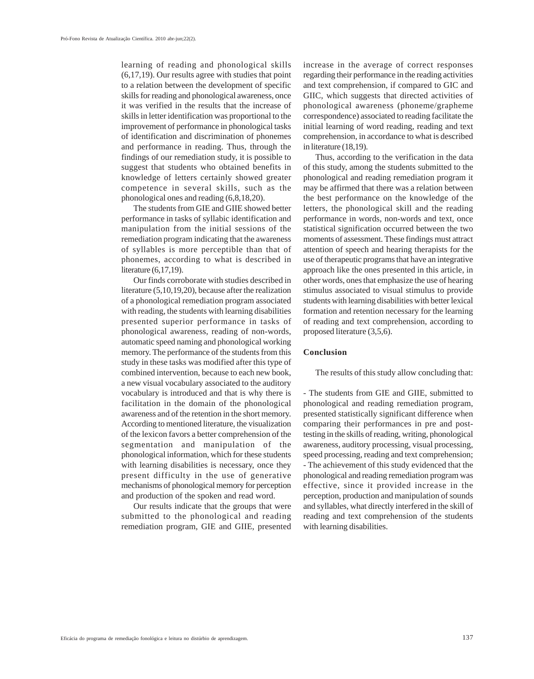learning of reading and phonological skills (6,17,19). Our results agree with studies that point to a relation between the development of specific skills for reading and phonological awareness, once it was verified in the results that the increase of skills in letter identification was proportional to the improvement of performance in phonological tasks of identification and discrimination of phonemes and performance in reading. Thus, through the findings of our remediation study, it is possible to suggest that students who obtained benefits in knowledge of letters certainly showed greater competence in several skills, such as the phonological ones and reading (6,8,18,20).

The students from GIE and GIIE showed better performance in tasks of syllabic identification and manipulation from the initial sessions of the remediation program indicating that the awareness of syllables is more perceptible than that of phonemes, according to what is described in literature (6,17,19).

Our finds corroborate with studies described in literature (5,10,19,20), because after the realization of a phonological remediation program associated with reading, the students with learning disabilities presented superior performance in tasks of phonological awareness, reading of non-words, automatic speed naming and phonological working memory. The performance of the students from this study in these tasks was modified after this type of combined intervention, because to each new book, a new visual vocabulary associated to the auditory vocabulary is introduced and that is why there is facilitation in the domain of the phonological awareness and of the retention in the short memory. According to mentioned literature, the visualization of the lexicon favors a better comprehension of the segmentation and manipulation of the phonological information, which for these students with learning disabilities is necessary, once they present difficulty in the use of generative mechanisms of phonological memory for perception and production of the spoken and read word.

Our results indicate that the groups that were submitted to the phonological and reading remediation program, GIE and GIIE, presented

increase in the average of correct responses regarding their performance in the reading activities and text comprehension, if compared to GIC and GIIC, which suggests that directed activities of phonological awareness (phoneme/grapheme correspondence) associated to reading facilitate the initial learning of word reading, reading and text comprehension, in accordance to what is described in literature (18,19).

Thus, according to the verification in the data of this study, among the students submitted to the phonological and reading remediation program it may be affirmed that there was a relation between the best performance on the knowledge of the letters, the phonological skill and the reading performance in words, non-words and text, once statistical signification occurred between the two moments of assessment. These findings must attract attention of speech and hearing therapists for the use of therapeutic programs that have an integrative approach like the ones presented in this article, in other words, ones that emphasize the use of hearing stimulus associated to visual stimulus to provide students with learning disabilities with better lexical formation and retention necessary for the learning of reading and text comprehension, according to proposed literature (3,5,6).

#### **Conclusion**

The results of this study allow concluding that:

- The students from GIE and GIIE, submitted to phonological and reading remediation program, presented statistically significant difference when comparing their performances in pre and posttesting in the skills of reading, writing, phonological awareness, auditory processing, visual processing, speed processing, reading and text comprehension; - The achievement of this study evidenced that the phonological and reading remediation program was effective, since it provided increase in the perception, production and manipulation of sounds and syllables, what directly interfered in the skill of reading and text comprehension of the students with learning disabilities.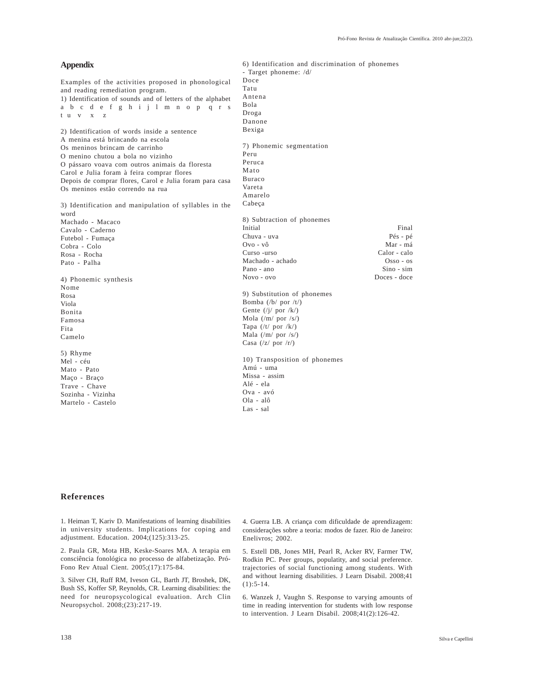| <b>Appendix</b>                                            | 6) Identification and discrimination of phonemes      |
|------------------------------------------------------------|-------------------------------------------------------|
|                                                            | - Target phoneme: /d/                                 |
| Examples of the activities proposed in phonological        | Doce                                                  |
| and reading remediation program.                           | Tatu                                                  |
| 1) Identification of sounds and of letters of the alphabet | Antena                                                |
| abcdefghijlm nop qrs                                       | Bola                                                  |
| tu v x<br>z                                                | Droga                                                 |
|                                                            | Danone                                                |
| 2) Identification of words inside a sentence               | Bexiga                                                |
| A menina está brincando na escola                          |                                                       |
| Os meninos brincam de carrinho                             | 7) Phonemic segmentation                              |
|                                                            | Peru                                                  |
| O menino chutou a bola no vizinho                          | Peruca                                                |
| O pássaro voava com outros animais da floresta             | Mato                                                  |
| Carol e Julia foram à feira comprar flores                 | Buraco                                                |
| Depois de comprar flores, Carol e Julia foram para casa    | Vareta                                                |
| Os meninos estão correndo na rua                           | Amarelo                                               |
|                                                            | Cabeça                                                |
| 3) Identification and manipulation of syllables in the     |                                                       |
| word                                                       |                                                       |
| Machado - Macaco                                           | 8) Subtraction of phonemes<br>Initial<br>Final        |
| Cavalo - Caderno                                           | Chuva - uva                                           |
| Futebol - Fumaça                                           | Pés - pé<br>$Qv_0 - v_0$<br>Mar - má                  |
| Cobra - Colo                                               | Curso -urso<br>Calor - calo                           |
| Rosa - Rocha                                               |                                                       |
| Pato - Palha                                               | Machado - achado<br>$Osso - os$<br>$Sino - sim$       |
|                                                            | Pano - ano                                            |
| 4) Phonemic synthesis                                      | Doces - doce<br>$Novo - ovo$                          |
| Nome                                                       |                                                       |
| Rosa                                                       | 9) Substitution of phonemes                           |
| Viola                                                      | Bomba $(\frac{b}{\sqrt{p}})$ por $\frac{t}{\sqrt{p}}$ |
| Bonita                                                     | Gente $(\frac{1}{I} \cdot \text{por } \frac{1}{K})$   |
| Famosa                                                     | Mola $(\frac{m}{p}$ por $\frac{s}{s})$                |
| Fita                                                       | Tapa $(\frac{t}{\sqrt{p}})$ por $\frac{R}{\sqrt{p}}$  |
| Camelo                                                     | Mala $(\frac{m}{\sqrt{p}})$                           |
|                                                            | Casa $(\frac{z}{\sqrt{p}})$ por $\frac{r}{r}$         |
| 5) Rhyme                                                   |                                                       |
| Mel - céu                                                  | 10) Transposition of phonemes                         |
| Mato - Pato                                                | Amú - uma                                             |
| Maço - Braço                                               | Missa - assim                                         |
| Trave - Chave                                              | Alé - ela                                             |
| Sozinha - Vizinha                                          | Ova - avó                                             |
| Martelo - Castelo                                          | Ola - alô                                             |
|                                                            | Las - sal                                             |

# **References**

1. Heiman T, Kariv D. Manifestations of learning disabilities in university students. Implications for coping and adjustment. Education. 2004;(125):313-25.

2. Paula GR, Mota HB, Keske-Soares MA. A terapia em consciência fonológica no processo de alfabetização. Pró-Fono Rev Atual Cient. 2005;(17):175-84.

3. Silver CH, Ruff RM, Iveson GL, Barth JT, Broshek, DK, Bush SS, Koffer SP, Reynolds, CR. Learning disabilities: the need for neuropsycological evaluation. Arch Clin Neuropsychol. 2008;(23):217-19.

4. Guerra LB. A criança com dificuldade de aprendizagem: considerações sobre a teoria: modos de fazer. Rio de Janeiro: Enelivros; 2002.

5. Estell DB, Jones MH, Pearl R, Acker RV, Farmer TW, Rodkin PC. Peer groups, populatity, and social preference. trajectories of social functioning among students. With and without learning disabilities. J Learn Disabil. 2008;41  $(1):$  5-14.

6. Wanzek J, Vaughn S. Response to varying amounts of time in reading intervention for students with low response to intervention. J Learn Disabil. 2008;41(2):126-42.